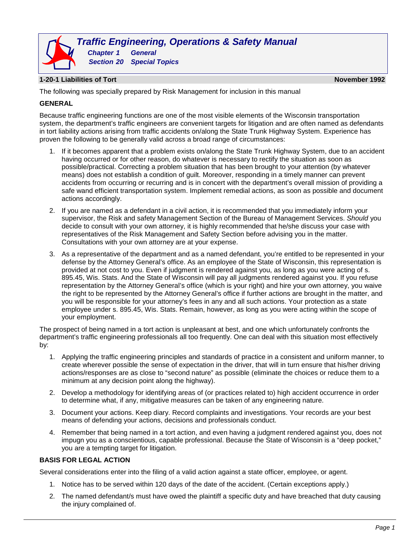

# **1-20-1 Liabilities of Tort November 1992**

The following was specially prepared by Risk Management for inclusion in this manual

## **GENERAL**

Because traffic engineering functions are one of the most visible elements of the Wisconsin transportation system, the department's traffic engineers are convenient targets for litigation and are often named as defendants in tort liability actions arising from traffic accidents on/along the State Trunk Highway System. Experience has proven the following to be generally valid across a broad range of circumstances:

- 1. If it becomes apparent that a problem exists on/along the State Trunk Highway System, due to an accident having occurred or for other reason, do whatever is necessary to rectify the situation as soon as possible/practical. Correcting a problem situation that has been brought to your attention (by whatever means) does not establish a condition of guilt. Moreover, responding in a timely manner can prevent accidents from occurring or recurring and is in concert with the department's overall mission of providing a safe wand efficient transportation system. Implement remedial actions, as soon as possible and document actions accordingly.
- 2. If you are named as a defendant in a civil action, it is recommended that you immediately inform your supervisor, the Risk and safety Management Section of the Bureau of Management Services. *Should* you decide to consult with your own attorney, it is highly recommended that he/she discuss your case with representatives of the Risk Management and Safety Section before advising you in the matter. Consultations with your own attorney are at your expense.
- 3. As a representative of the department and as a named defendant, you're entitled to be represented in your defense by the Attorney General's office. As an employee of the State of Wisconsin, this representation is provided at not cost to you. Even if judgment is rendered against you, as long as you were acting of s. 895.45, Wis. Stats. And the State of Wisconsin will pay all judgments rendered against you. If you refuse representation by the Attorney General's office (which is your right) and hire your own attorney, you waive the right to be represented by the Attorney General's office if further actions are brought in the matter, and you will be responsible for your attorney's fees in any and all such actions. Your protection as a state employee under s. 895.45, Wis. Stats. Remain, however, as long as you were acting within the scope of your employment.

The prospect of being named in a tort action is unpleasant at best, and one which unfortunately confronts the department's traffic engineering professionals all too frequently. One can deal with this situation most effectively by:

- 1. Applying the traffic engineering principles and standards of practice in a consistent and uniform manner, to create wherever possible the sense of expectation in the driver, that will in turn ensure that his/her driving actions/responses are as close to "second nature" as possible (eliminate the choices or reduce them to a minimum at any decision point along the highway).
- 2. Develop a methodology for identifying areas of (or practices related to) high accident occurrence in order to determine what, if any, mitigative measures can be taken of any engineering nature.
- 3. Document your actions. Keep diary. Record complaints and investigations. Your records are your best means of defending your actions, decisions and professionals conduct.
- 4. Remember that being named in a tort action, and even having a judgment rendered against you, does not impugn you as a conscientious, capable professional. Because the State of Wisconsin is a "deep pocket," you are a tempting target for litigation.

## **BASIS FOR LEGAL ACTION**

Several considerations enter into the filing of a valid action against a state officer, employee, or agent.

- 1. Notice has to be served within 120 days of the date of the accident. (Certain exceptions apply.)
- 2. The named defendant/s must have owed the plaintiff a specific duty and have breached that duty causing the injury complained of.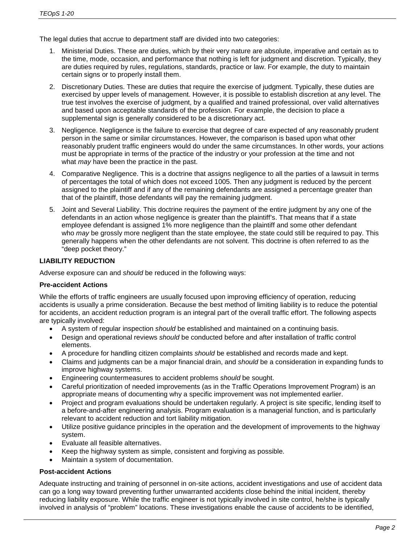The legal duties that accrue to department staff are divided into two categories:

- 1. Ministerial Duties. These are duties, which by their very nature are absolute, imperative and certain as to the time, mode, occasion, and performance that nothing is left for judgment and discretion. Typically, they are duties required by rules, regulations, standards, practice or law. For example, the duty to maintain certain signs or to properly install them.
- 2. Discretionary Duties. These are duties that require the exercise of judgment. Typically, these duties are exercised by upper levels of management. However, it is possible to establish discretion at any level. The true test involves the exercise of judgment, by a qualified and trained professional, over valid alternatives and based upon acceptable standards of the profession. For example, the decision to place a supplemental sign is generally considered to be a discretionary act.
- 3. Negligence. Negligence is the failure to exercise that degree of care expected of any reasonably prudent person in the same or similar circumstances. However, the comparison is based upon what other reasonably prudent traffic engineers would do under the same circumstances. In other words, your actions must be appropriate in terms of the practice of the industry or your profession at the time and not what *may* have been the practice in the past.
- 4. Comparative Negligence. This is a doctrine that assigns negligence to all the parties of a lawsuit in terms of percentages the total of which does not exceed 1005. Then any judgment is reduced by the percent assigned to the plaintiff and if any of the remaining defendants are assigned a percentage greater than that of the plaintiff, those defendants will pay the remaining judgment.
- 5. Joint and Several Liability. This doctrine requires the payment of the entire judgment by any one of the defendants in an action whose negligence is greater than the plaintiff's. That means that if a state employee defendant is assigned 1% more negligence than the plaintiff and some other defendant who *may* be grossly more negligent than the state employee, the state could still be required to pay. This generally happens when the other defendants are not solvent. This doctrine is often referred to as the "deep pocket theory."

# **LIABILITY REDUCTION**

Adverse exposure can and *should* be reduced in the following ways:

# **Pre-accident Actions**

While the efforts of traffic engineers are usually focused upon improving efficiency of operation, reducing accidents is usually a prime consideration. Because the best method of limiting liability is to reduce the potential for accidents, an accident reduction program is an integral part of the overall traffic effort. The following aspects are typically involved:

- A system of regular inspection *should* be established and maintained on a continuing basis.
- Design and operational reviews *should* be conducted before and after installation of traffic control elements.
- A procedure for handling citizen complaints *should* be established and records made and kept.
- Claims and judgments can be a major financial drain, and *should* be a consideration in expanding funds to improve highway systems.
- Engineering countermeasures to accident problems *should* be sought.
- Careful prioritization of needed improvements (as in the Traffic Operations Improvement Program) is an appropriate means of documenting why a specific improvement was not implemented earlier.
- Project and program evaluations should be undertaken regularly. A project is site specific, lending itself to a before-and-after engineering analysis. Program evaluation is a managerial function, and is particularly relevant to accident reduction and tort liability mitigation.
- Utilize positive guidance principles in the operation and the development of improvements to the highway system.
- Evaluate all feasible alternatives.
- Keep the highway system as simple, consistent and forgiving as possible.
- Maintain a system of documentation.

# **Post-accident Actions**

Adequate instructing and training of personnel in on-site actions, accident investigations and use of accident data can go a long way toward preventing further unwarranted accidents close behind the initial incident, thereby reducing liability exposure. While the traffic engineer is not typically involved in site control, he/she is typically involved in analysis of "problem" locations. These investigations enable the cause of accidents to be identified,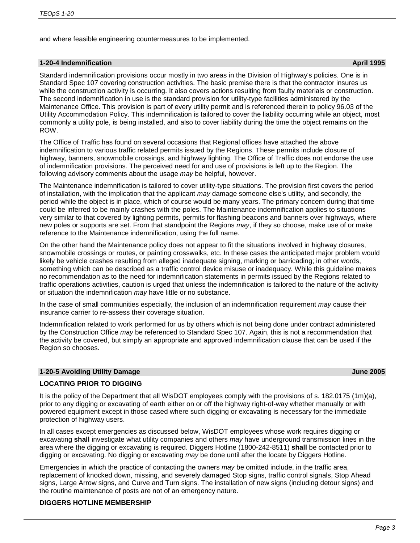and where feasible engineering countermeasures to be implemented.

## **1-20-4 Indemnification April 1995**

Standard indemnification provisions occur mostly in two areas in the Division of Highway's policies. One is in Standard Spec 107 covering construction activities. The basic premise there is that the contractor insures us while the construction activity is occurring. It also covers actions resulting from faulty materials or construction. The second indemnification in use is the standard provision for utility-type facilities administered by the Maintenance Office. This provision is part of every utility permit and is referenced therein to policy 96.03 of the Utility Accommodation Policy. This indemnification is tailored to cover the liability occurring while an object, most commonly a utility pole, is being installed, and also to cover liability during the time the object remains on the ROW.

The Office of Traffic has found on several occasions that Regional offices have attached the above indemnification to various traffic related permits issued by the Regions. These permits include closure of highway, banners, snowmobile crossings, and highway lighting. The Office of Traffic does not endorse the use of indemnification provisions. The perceived need for and use of provisions is left up to the Region. The following advisory comments about the usage *may* be helpful, however.

The Maintenance indemnification is tailored to cover utility-type situations. The provision first covers the period of installation, with the implication that the applicant *may* damage someone else's utility, and secondly, the period while the object is in place, which of course would be many years. The primary concern during that time could be inferred to be mainly crashes with the poles. The Maintenance indemnification applies to situations very similar to that covered by lighting permits, permits for flashing beacons and banners over highways, where new poles or supports are set. From that standpoint the Regions *may*, if they so choose, make use of or make reference to the Maintenance indemnification, using the full name.

On the other hand the Maintenance policy does not appear to fit the situations involved in highway closures, snowmobile crossings or routes, or painting crosswalks, etc. In these cases the anticipated major problem would likely be vehicle crashes resulting from alleged inadequate signing, marking or barricading; in other words, something which can be described as a traffic control device misuse or inadequacy. While this guideline makes no recommendation as to the need for indemnification statements in permits issued by the Regions related to traffic operations activities, caution is urged that unless the indemnification is tailored to the nature of the activity or situation the indemnification *may* have little or no substance.

In the case of small communities especially, the inclusion of an indemnification requirement *may* cause their insurance carrier to re-assess their coverage situation.

Indemnification related to work performed for us by others which is not being done under contract administered by the Construction Office *may* be referenced to Standard Spec 107. Again, this is not a recommendation that the activity be covered, but simply an appropriate and approved indemnification clause that can be used if the Region so chooses.

# **1-20-5 Avoiding Utility Damage June 2005**

# **LOCATING PRIOR TO DIGGING**

It is the policy of the Department that all WisDOT employees comply with the provisions of s. 182.0175 (1m)(a), prior to any digging or excavating of earth either on or off the highway right-of-way whether manually or with powered equipment except in those cased where such digging or excavating is necessary for the immediate protection of highway users.

In all cases except emergencies as discussed below, WisDOT employees whose work requires digging or excavating **shall** investigate what utility companies and others *may* have underground transmission lines in the area where the digging or excavating is required. Diggers Hotline (1800-242-8511) **shall** be contacted prior to digging or excavating. No digging or excavating *may* be done until after the locate by Diggers Hotline.

Emergencies in which the practice of contacting the owners *may* be omitted include, in the traffic area, replacement of knocked down, missing, and severely damaged Stop signs, traffic control signals, Stop Ahead signs, Large Arrow signs, and Curve and Turn signs. The installation of new signs (including detour signs) and the routine maintenance of posts are not of an emergency nature.

# **DIGGERS HOTLINE MEMBERSHIP**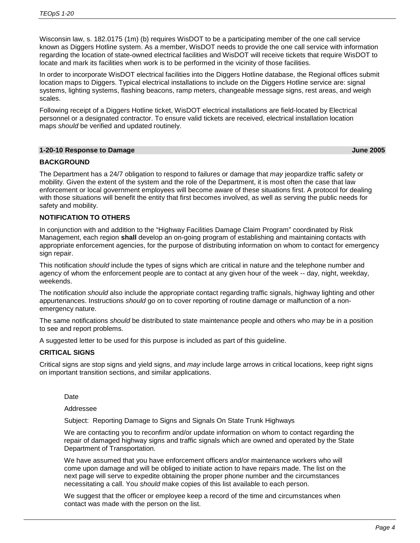Wisconsin law, s. 182.0175 (1m) (b) requires WisDOT to be a participating member of the one call service known as Diggers Hotline system. As a member, WisDOT needs to provide the one call service with information regarding the location of state-owned electrical facilities and WisDOT will receive tickets that require WisDOT to locate and mark its facilities when work is to be performed in the vicinity of those facilities.

In order to incorporate WisDOT electrical facilities into the Diggers Hotline database, the Regional offices submit location maps to Diggers. Typical electrical installations to include on the Diggers Hotline service are: signal systems, lighting systems, flashing beacons, ramp meters, changeable message signs, rest areas, and weigh scales.

Following receipt of a Diggers Hotline ticket, WisDOT electrical installations are field-located by Electrical personnel or a designated contractor. To ensure valid tickets are received, electrical installation location maps *should* be verified and updated routinely.

#### **1-20-10 Response to Damage June 2005**

## **BACKGROUND**

The Department has a 24/7 obligation to respond to failures or damage that *may* jeopardize traffic safety or mobility. Given the extent of the system and the role of the Department, it is most often the case that law enforcement or local government employees will become aware of these situations first. A protocol for dealing with those situations will benefit the entity that first becomes involved, as well as serving the public needs for safety and mobility.

## **NOTIFICATION TO OTHERS**

In conjunction with and addition to the "Highway Facilities Damage Claim Program" coordinated by Risk Management, each region **shall** develop an on-going program of establishing and maintaining contacts with appropriate enforcement agencies, for the purpose of distributing information on whom to contact for emergency sign repair.

This notification *should* include the types of signs which are critical in nature and the telephone number and agency of whom the enforcement people are to contact at any given hour of the week -- day, night, weekday, weekends.

The notification *should* also include the appropriate contact regarding traffic signals, highway lighting and other appurtenances. Instructions *should* go on to cover reporting of routine damage or malfunction of a nonemergency nature.

The same notifications *should* be distributed to state maintenance people and others who *may* be in a position to see and report problems.

A suggested letter to be used for this purpose is included as part of this guideline.

## **CRITICAL SIGNS**

Critical signs are stop signs and yield signs, and *may* include large arrows in critical locations, keep right signs on important transition sections, and similar applications.

Date

## Addressee

Subject: Reporting Damage to Signs and Signals On State Trunk Highways

We are contacting you to reconfirm and/or update information on whom to contact regarding the repair of damaged highway signs and traffic signals which are owned and operated by the State Department of Transportation.

We have assumed that you have enforcement officers and/or maintenance workers who will come upon damage and will be obliged to initiate action to have repairs made. The list on the next page will serve to expedite obtaining the proper phone number and the circumstances necessitating a call. You *should* make copies of this list available to each person.

We suggest that the officer or employee keep a record of the time and circumstances when contact was made with the person on the list.